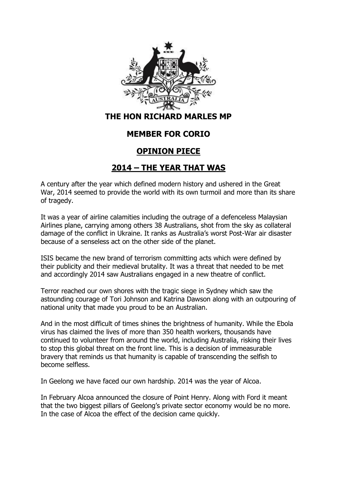

## **MEMBER FOR CORIO**

## **OPINION PIECE**

## **2014 – THE YEAR THAT WAS**

A century after the year which defined modern history and ushered in the Great War, 2014 seemed to provide the world with its own turmoil and more than its share of tragedy.

It was a year of airline calamities including the outrage of a defenceless Malaysian Airlines plane, carrying among others 38 Australians, shot from the sky as collateral damage of the conflict in Ukraine. It ranks as Australia's worst Post-War air disaster because of a senseless act on the other side of the planet.

ISIS became the new brand of terrorism committing acts which were defined by their publicity and their medieval brutality. It was a threat that needed to be met and accordingly 2014 saw Australians engaged in a new theatre of conflict.

Terror reached our own shores with the tragic siege in Sydney which saw the astounding courage of Tori Johnson and Katrina Dawson along with an outpouring of national unity that made you proud to be an Australian.

And in the most difficult of times shines the brightness of humanity. While the Ebola virus has claimed the lives of more than 350 health workers, thousands have continued to volunteer from around the world, including Australia, risking their lives to stop this global threat on the front line. This is a decision of immeasurable bravery that reminds us that humanity is capable of transcending the selfish to become selfless.

In Geelong we have faced our own hardship. 2014 was the year of Alcoa.

In February Alcoa announced the closure of Point Henry. Along with Ford it meant that the two biggest pillars of Geelong's private sector economy would be no more. In the case of Alcoa the effect of the decision came quickly.